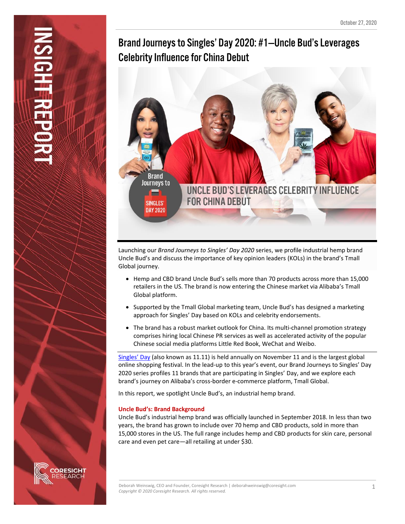# Brand Journeys to Singles' Day 2020: #1—Uncle Bud's Leverages Celebrity Influence for China Debut



Launching our *Brand Journeys to Singles' Day 2020* series, we profile industrial hemp brand Uncle Bud's and discuss the importance of key opinion leaders (KOLs) in the brand's Tmall Global journey.

- Hemp and CBD brand Uncle Bud's sells more than 70 products across more than 15,000 retailers in the US. The brand is now entering the Chinese market via Alibaba's Tmall Global platform.
- Supported by the Tmall Global marketing team, Uncle Bud's has designed a marketing approach for Singles' Day based on KOLs and celebrity endorsements.
- The brand has a robust market outlook for China. Its multi-channel promotion strategy comprises hiring local Chinese PR services as well as accelerated activity of the popular Chinese social media platforms Little Red Book, WeChat and Weibo.

[Singles' Day](https://coresight.com/singles-day-the-11-11-global-shopping-festival/) (also known as 11.11) is held annually on November 11 and is the largest global online shopping festival. In the lead-up to this year's event, our Brand Journeys to Singles' Day 2020 series profiles 11 brands that are participating in Singles' Day, and we explore each brand's journey on Alibaba's cross-border e-commerce platform, Tmall Global.

In this report, we spotlight Uncle Bud's, an industrial hemp brand.

#### **Uncle Bud's: Brand Background**

Uncle Bud's industrial hemp brand was officially launched in September 2018. In less than two years, the brand has grown to include over 70 hemp and CBD products, sold in more than 15,000 stores in the US. The full range includes hemp and CBD products for skin care, personal care and even pet care—all retailing at under \$30.



**ISIGHT REP**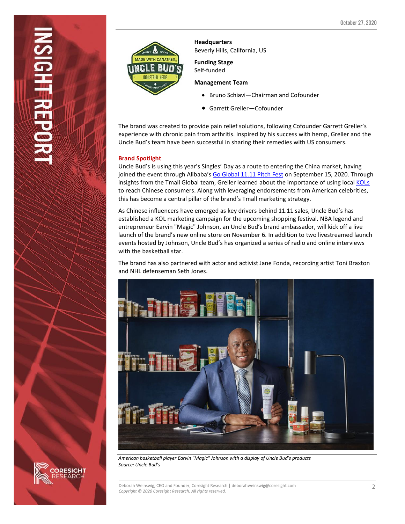

**Headquarters**  Beverly Hills, California, US

## **Funding Stage**

Self-funded

#### **Management Team**

- Bruno Schiavi—Chairman and Cofounder
- Garrett Greller—Cofounder

The brand was created to provide pain relief solutions, following Cofounder Garrett Greller's experience with chronic pain from arthritis. Inspired by his success with hemp, Greller and the Uncle Bud's team have been successful in sharing their remedies with US consumers.

### **Brand Spotlight**

**SIGHT REPO** 

Uncle Bud's is using this year's Singles' Day as a route to entering the China market, having joined the event through Alibaba's [Go Global 11.11 Pitch Fest](https://coresight.com/research/eight-brands-approved-to-sell-on-tmall-global-in-alibabas-go-global-11-11-pitch-fest/) on September 15, 2020. Through insights from the Tmall Global team, Greller learned about the importance of using local [KOLs](https://coresight.com/research/insights-from-china-how-brands-can-harness-the-power-of-kols-and-kocs/) to reach Chinese consumers. Along with leveraging endorsements from American celebrities, this has become a central pillar of the brand's Tmall marketing strategy.

As Chinese influencers have emerged as key drivers behind 11.11 sales, Uncle Bud's has established a KOL marketing campaign for the upcoming shopping festival. NBA legend and entrepreneur Earvin "Magic" Johnson, an Uncle Bud's brand ambassador, will kick off a live launch of the brand's new online store on November 6. In addition to two livestreamed launch events hosted by Johnson, Uncle Bud's has organized a series of radio and online interviews with the basketball star.

The brand has also partnered with actor and activist Jane Fonda, recording artist Toni Braxton and NHL defenseman Seth Jones.



*American basketball player Earvin "Magic" Johnson with a display of Uncle Bud's products Source: Uncle Bud's*

Deborah Weinswig, CEO and Founder, Coresight Research | deborahweinswig@coresight.com 2 *Copyright © 2020 Coresight Research. All rights reserved.*